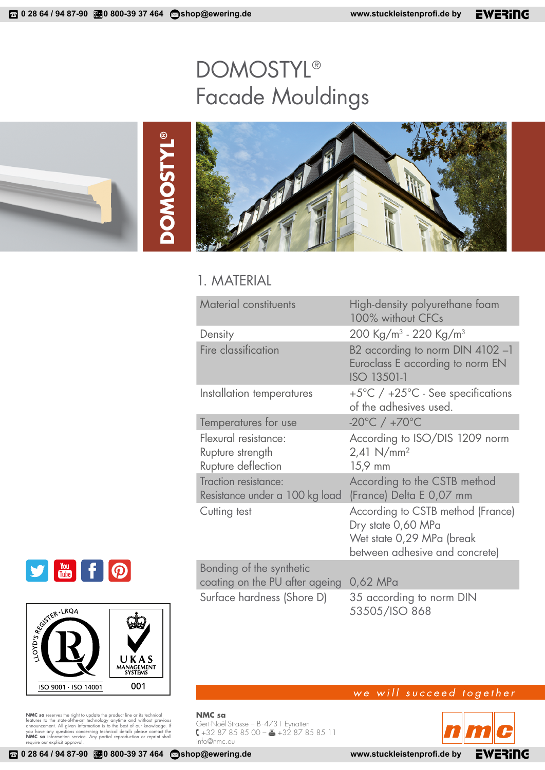# DOMOSTYL® Facade Mouldings

# **DOMOSTYL® DOMOSTYL®**

# 1. MATERIAL

| Material constituents                                          | High-density polyurethane foam<br>100% without CFCs                                                                    |
|----------------------------------------------------------------|------------------------------------------------------------------------------------------------------------------------|
| Density                                                        | 200 Kg/m <sup>3</sup> - 220 Kg/m <sup>3</sup>                                                                          |
| Fire classification                                            | B2 according to norm DIN 4102-1<br>Euroclass E according to norm EN<br>ISO 13501-1                                     |
| Installation temperatures                                      | $+5^{\circ}$ C / $+25^{\circ}$ C - See specifications<br>of the adhesives used.                                        |
| Temperatures for use                                           | $-20^{\circ}$ C / $+70^{\circ}$ C                                                                                      |
| Flexural resistance:<br>Rupture strength<br>Rupture deflection | According to ISO/DIS 1209 norm<br>$2,41 \text{ N/mm}^2$<br>$15.9$ mm                                                   |
| Traction resistance:<br>Resistance under a 100 kg load         | According to the CSTB method<br>(France) Delta E 0,07 mm                                                               |
| Cutting test                                                   | According to CSTB method (France)<br>Dry state 0,60 MPa<br>Wet state 0,29 MPa (break<br>between adhesive and concrete) |
| Bonding of the synthetic<br>coating on the PU after ageing     | 0,62 MPa                                                                                                               |
| Surface hardness (Shore D)                                     | 35 according to norm DIN                                                                                               |





**FO** 



**NMC sa** reserves the right to update the product line or its technical contures to the state-of-heart enchology anyitime and without previous announcement. All given information is to the best of our knowledge. If you hav

**NMC sa**

info@nmc.eu

Gert-Noël-Strasse – B-4731 Eynatten

+32 87 85 85 00 – +32 87 85 85 11

we will succeed together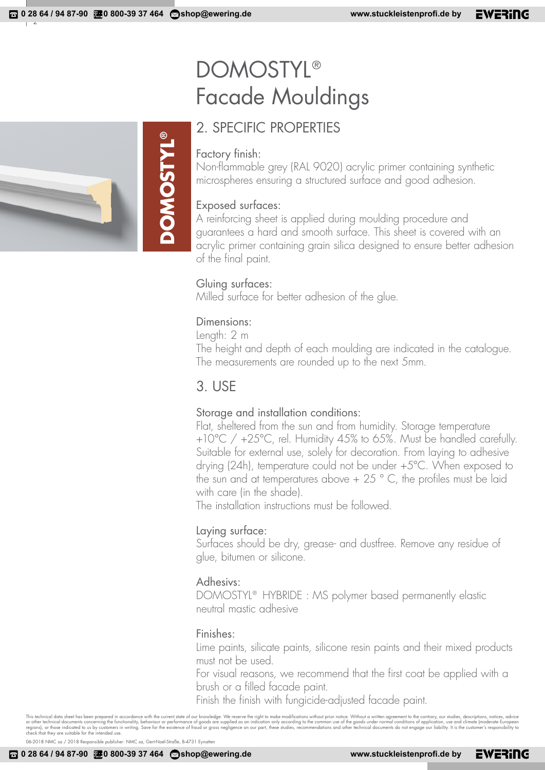2

# DOMOSTYL® Facade Mouldings

# 2. SPECIFIC PROPERTIES

## Factory finish:

**DOMOSTYL®**

**DOMOSTYL®** 

Non-flammable grey (RAL 9020) acrylic primer containing synthetic microspheres ensuring a structured surface and good adhesion.

# Exposed surfaces:

A reinforcing sheet is applied during moulding procedure and guarantees a hard and smooth surface. This sheet is covered with an acrylic primer containing grain silica designed to ensure better adhesion of the final paint.

## Gluing surfaces:

Milled surface for better adhesion of the glue.

## Dimensions:

Length: 2 m The height and depth of each moulding are indicated in the catalogue. The measurements are rounded up to the next 5mm.

# 3. USE

## Storage and installation conditions:

Flat, sheltered from the sun and from humidity. Storage temperature +10°C / +25°C, rel. Humidity 45% to 65%. Must be handled carefully. Suitable for external use, solely for decoration. From laying to adhesive drying (24h), temperature could not be under +5°C. When exposed to the sun and at temperatures above  $+25$  ° C, the profiles must be laid with care (in the shade).

The installation instructions must be followed.

## Laying surface:

Surfaces should be dry, grease- and dustfree. Remove any residue of glue, bitumen or silicone.

## Adhesivs:

DOMOSTYL® HYBRIDE : MS polymer based permanently elastic neutral mastic adhesive

#### Finishes:

Lime paints, silicate paints, silicone resin paints and their mixed products must not be used.

For visual reasons, we recommend that the first coat be applied with a brush or a filled facade paint.

Finish the finish with fungicide-adjusted facade paint.

This technical data sheet has been prepared in accordance with the current state of our knowledge. We reserve the right to make modifications without prior notice. Without a written agreement to the contrary, our studies,

06-2018 NMC sa / 2018 Responsible publisher: NMC sa, Gert-Noël-Straße, B-4731 Eynatte